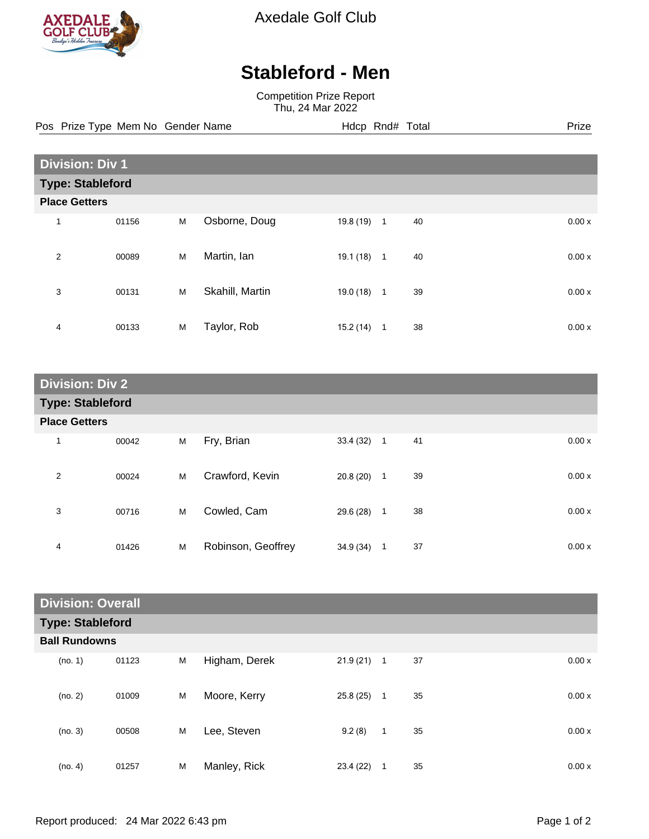

Axedale Golf Club

## **Stableford - Men**

Competition Prize Report Thu, 24 Mar 2022

Pos Prize Type Mem No Gender Name **Hdcp Rnd# Total** Prize Prize

| <b>Division: Div 1</b>  |       |   |                 |           |              |    |       |
|-------------------------|-------|---|-----------------|-----------|--------------|----|-------|
| <b>Type: Stableford</b> |       |   |                 |           |              |    |       |
| <b>Place Getters</b>    |       |   |                 |           |              |    |       |
| 1                       | 01156 | M | Osborne, Doug   | 19.8 (19) | $\mathbf{1}$ | 40 | 0.00x |
| $\overline{2}$          | 00089 | M | Martin, lan     | 19.1 (18) | $\mathbf{1}$ | 40 | 0.00x |
| 3                       | 00131 | M | Skahill, Martin | 19.0 (18) | $\mathbf{1}$ | 39 | 0.00x |
| 4                       | 00133 | M | Taylor, Rob     | 15.2(14)  | 1            | 38 | 0.00x |

| <b>Division: Div 2</b>  |       |   |                    |           |                |    |       |
|-------------------------|-------|---|--------------------|-----------|----------------|----|-------|
| <b>Type: Stableford</b> |       |   |                    |           |                |    |       |
| <b>Place Getters</b>    |       |   |                    |           |                |    |       |
| $\mathbf{1}$            | 00042 | M | Fry, Brian         | 33.4(32)  | $\overline{1}$ | 41 | 0.00x |
| $\overline{2}$          | 00024 | M | Crawford, Kevin    | 20.8(20)  | 1              | 39 | 0.00x |
| 3                       | 00716 | M | Cowled, Cam        | 29.6 (28) | $\mathbf{1}$   | 38 | 0.00x |
| 4                       | 01426 | M | Robinson, Geoffrey | 34.9 (34) | 1              | 37 | 0.00x |

| <b>Division: Overall</b> |                         |   |               |           |              |    |  |       |
|--------------------------|-------------------------|---|---------------|-----------|--------------|----|--|-------|
|                          | <b>Type: Stableford</b> |   |               |           |              |    |  |       |
| <b>Ball Rundowns</b>     |                         |   |               |           |              |    |  |       |
| (no. 1)                  | 01123                   | M | Higham, Derek | 21.9(21)  | $\mathbf{1}$ | 37 |  | 0.00x |
| (no. 2)                  | 01009                   | M | Moore, Kerry  | 25.8(25)  | $\mathbf{1}$ | 35 |  | 0.00x |
| (no. 3)                  | 00508                   | M | Lee, Steven   | 9.2(8)    | 1            | 35 |  | 0.00x |
| (no. 4)                  | 01257                   | M | Manley, Rick  | 23.4 (22) | 1            | 35 |  | 0.00x |